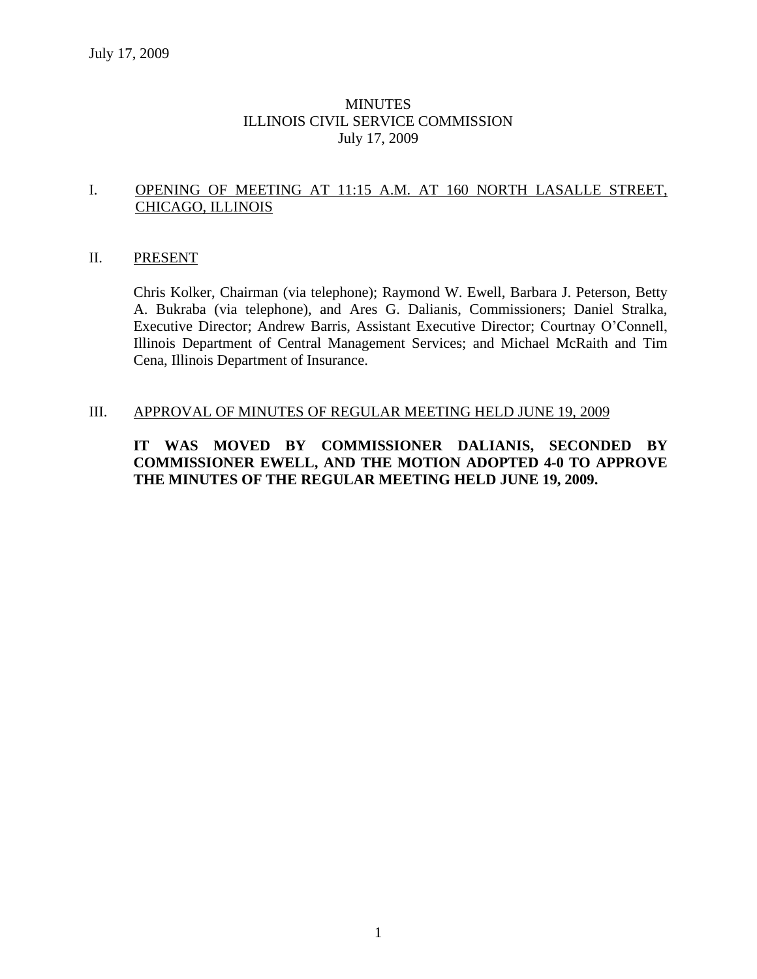# **MINUTES** ILLINOIS CIVIL SERVICE COMMISSION July 17, 2009

# I. OPENING OF MEETING AT 11:15 A.M. AT 160 NORTH LASALLE STREET, CHICAGO, ILLINOIS

#### II. PRESENT

Chris Kolker, Chairman (via telephone); Raymond W. Ewell, Barbara J. Peterson, Betty A. Bukraba (via telephone), and Ares G. Dalianis, Commissioners; Daniel Stralka, Executive Director; Andrew Barris, Assistant Executive Director; Courtnay O'Connell, Illinois Department of Central Management Services; and Michael McRaith and Tim Cena, Illinois Department of Insurance.

#### III. APPROVAL OF MINUTES OF REGULAR MEETING HELD JUNE 19, 2009

# **IT WAS MOVED BY COMMISSIONER DALIANIS, SECONDED BY COMMISSIONER EWELL, AND THE MOTION ADOPTED 4-0 TO APPROVE THE MINUTES OF THE REGULAR MEETING HELD JUNE 19, 2009.**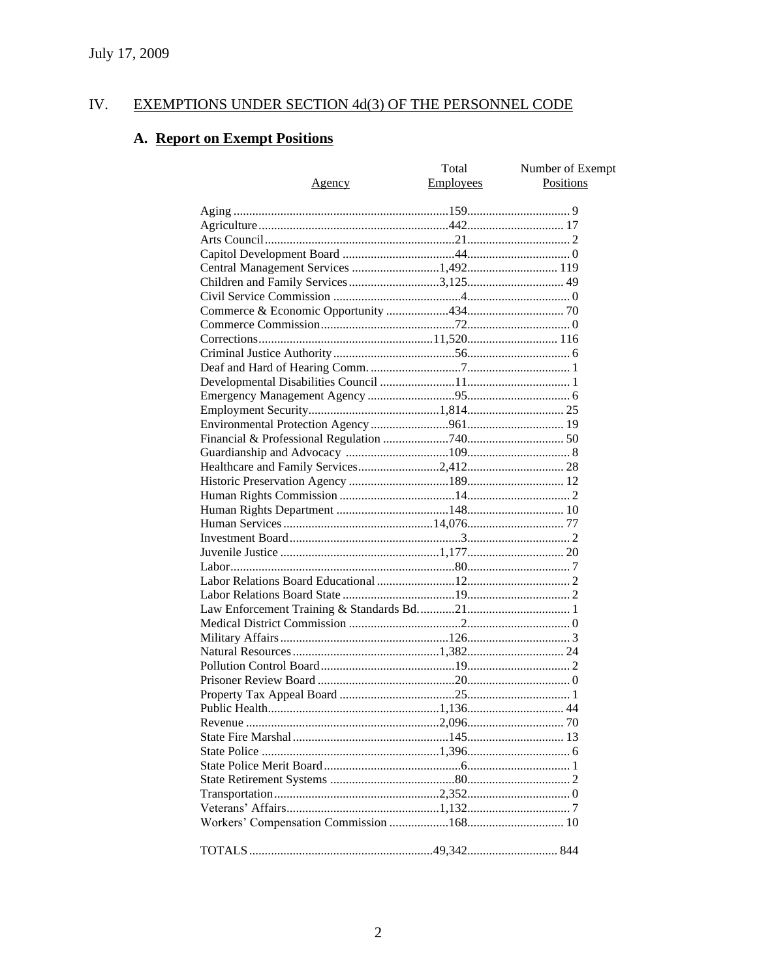#### IV. **EXEMPTIONS UNDER SECTION 4d(3) OF THE PERSONNEL CODE**

# A. Report on Exempt Positions

|                                       | Total            | Number of Exempt |
|---------------------------------------|------------------|------------------|
| <u>Agency</u>                         | <b>Employees</b> | Positions        |
|                                       |                  |                  |
|                                       |                  |                  |
|                                       |                  |                  |
|                                       |                  |                  |
|                                       |                  |                  |
| Central Management Services 1,492 119 |                  |                  |
| Children and Family Services 3,125 49 |                  |                  |
|                                       |                  |                  |
|                                       |                  |                  |
|                                       |                  |                  |
|                                       |                  |                  |
|                                       |                  |                  |
|                                       |                  |                  |
|                                       |                  |                  |
|                                       |                  |                  |
|                                       |                  |                  |
|                                       |                  |                  |
|                                       |                  |                  |
|                                       |                  |                  |
|                                       |                  |                  |
|                                       |                  |                  |
|                                       |                  |                  |
|                                       |                  |                  |
|                                       |                  |                  |
|                                       |                  |                  |
|                                       |                  |                  |
|                                       |                  |                  |
|                                       |                  |                  |
|                                       |                  |                  |
|                                       |                  |                  |
|                                       |                  |                  |
|                                       |                  |                  |
|                                       |                  |                  |
|                                       |                  |                  |
|                                       |                  |                  |
|                                       |                  |                  |
|                                       |                  |                  |
|                                       |                  |                  |
|                                       |                  |                  |
|                                       |                  |                  |
|                                       |                  |                  |
|                                       |                  |                  |
|                                       |                  |                  |
|                                       |                  |                  |
|                                       |                  |                  |
|                                       |                  |                  |
|                                       |                  |                  |
|                                       |                  |                  |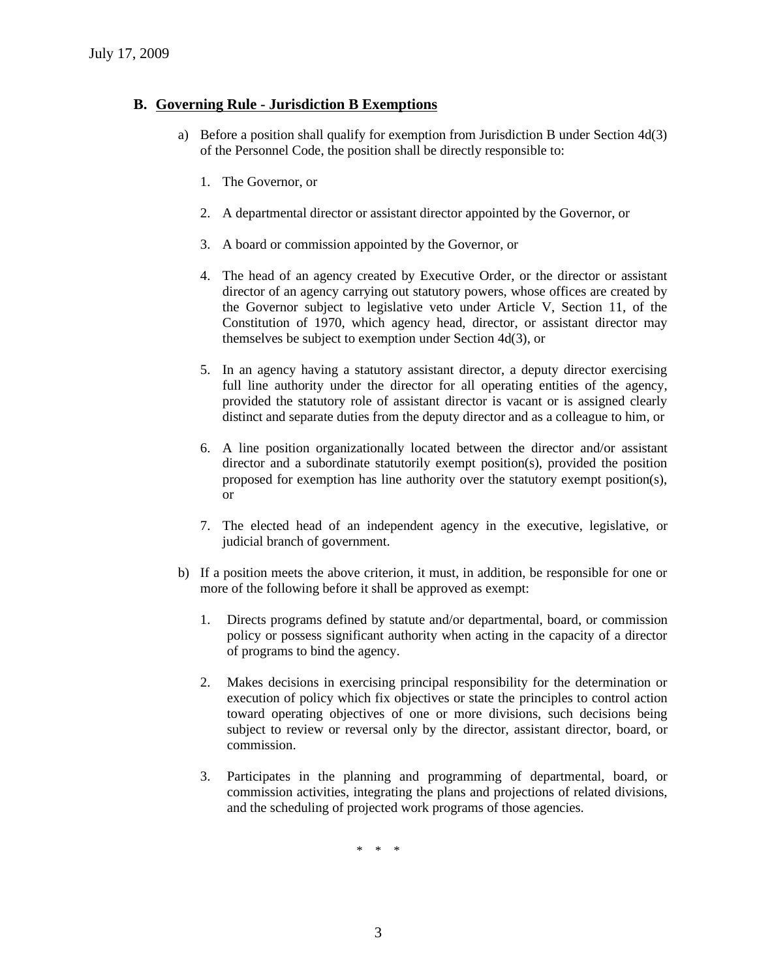#### **B. Governing Rule - Jurisdiction B Exemptions**

- a) Before a position shall qualify for exemption from Jurisdiction B under Section 4d(3) of the Personnel Code, the position shall be directly responsible to:
	- 1. The Governor, or
	- 2. A departmental director or assistant director appointed by the Governor, or
	- 3. A board or commission appointed by the Governor, or
	- 4. The head of an agency created by Executive Order, or the director or assistant director of an agency carrying out statutory powers, whose offices are created by the Governor subject to legislative veto under Article V, Section 11, of the Constitution of 1970, which agency head, director, or assistant director may themselves be subject to exemption under Section 4d(3), or
	- 5. In an agency having a statutory assistant director, a deputy director exercising full line authority under the director for all operating entities of the agency, provided the statutory role of assistant director is vacant or is assigned clearly distinct and separate duties from the deputy director and as a colleague to him, or
	- 6. A line position organizationally located between the director and/or assistant director and a subordinate statutorily exempt position(s), provided the position proposed for exemption has line authority over the statutory exempt position(s), or
	- 7. The elected head of an independent agency in the executive, legislative, or judicial branch of government.
- b) If a position meets the above criterion, it must, in addition, be responsible for one or more of the following before it shall be approved as exempt:
	- 1. Directs programs defined by statute and/or departmental, board, or commission policy or possess significant authority when acting in the capacity of a director of programs to bind the agency.
	- 2. Makes decisions in exercising principal responsibility for the determination or execution of policy which fix objectives or state the principles to control action toward operating objectives of one or more divisions, such decisions being subject to review or reversal only by the director, assistant director, board, or commission.
	- 3. Participates in the planning and programming of departmental, board, or commission activities, integrating the plans and projections of related divisions, and the scheduling of projected work programs of those agencies.

\* \* \*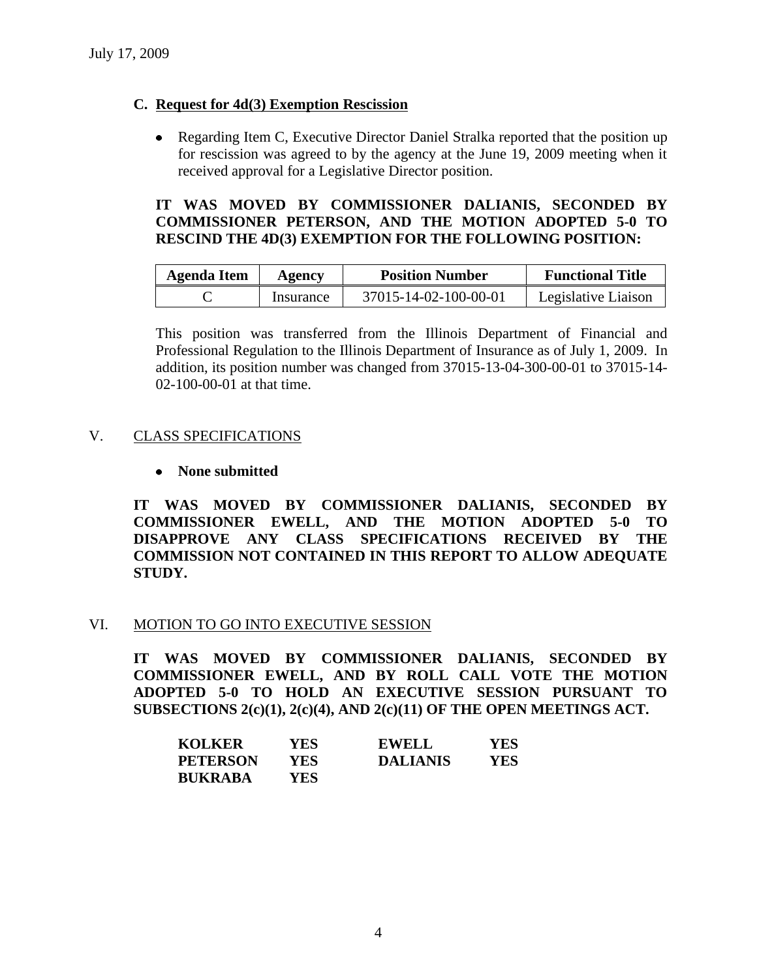# **C. Request for 4d(3) Exemption Rescission**

• Regarding Item C, Executive Director Daniel Stralka reported that the position up for rescission was agreed to by the agency at the June 19, 2009 meeting when it received approval for a Legislative Director position.

# **IT WAS MOVED BY COMMISSIONER DALIANIS, SECONDED BY COMMISSIONER PETERSON, AND THE MOTION ADOPTED 5-0 TO RESCIND THE 4D(3) EXEMPTION FOR THE FOLLOWING POSITION:**

| Agenda Item | Agency    | <b>Position Number</b> | <b>Functional Title</b> |
|-------------|-----------|------------------------|-------------------------|
|             | Insurance | 37015-14-02-100-00-01  | Legislative Liaison     |

This position was transferred from the Illinois Department of Financial and Professional Regulation to the Illinois Department of Insurance as of July 1, 2009. In addition, its position number was changed from 37015-13-04-300-00-01 to 37015-14- 02-100-00-01 at that time.

# V. CLASS SPECIFICATIONS

# **None submitted**

**IT WAS MOVED BY COMMISSIONER DALIANIS, SECONDED BY COMMISSIONER EWELL, AND THE MOTION ADOPTED 5-0 TO DISAPPROVE ANY CLASS SPECIFICATIONS RECEIVED BY THE COMMISSION NOT CONTAINED IN THIS REPORT TO ALLOW ADEQUATE STUDY.** 

# VI. MOTION TO GO INTO EXECUTIVE SESSION

**IT WAS MOVED BY COMMISSIONER DALIANIS, SECONDED BY COMMISSIONER EWELL, AND BY ROLL CALL VOTE THE MOTION ADOPTED 5-0 TO HOLD AN EXECUTIVE SESSION PURSUANT TO SUBSECTIONS 2(c)(1), 2(c)(4), AND 2(c)(11) OF THE OPEN MEETINGS ACT.** 

| <b>KOLKER</b>   | YES.       | <b>EWELL</b>    | <b>YES</b> |
|-----------------|------------|-----------------|------------|
| <b>PETERSON</b> | YES.       | <b>DALIANIS</b> | YES        |
| <b>BUKRABA</b>  | <b>YES</b> |                 |            |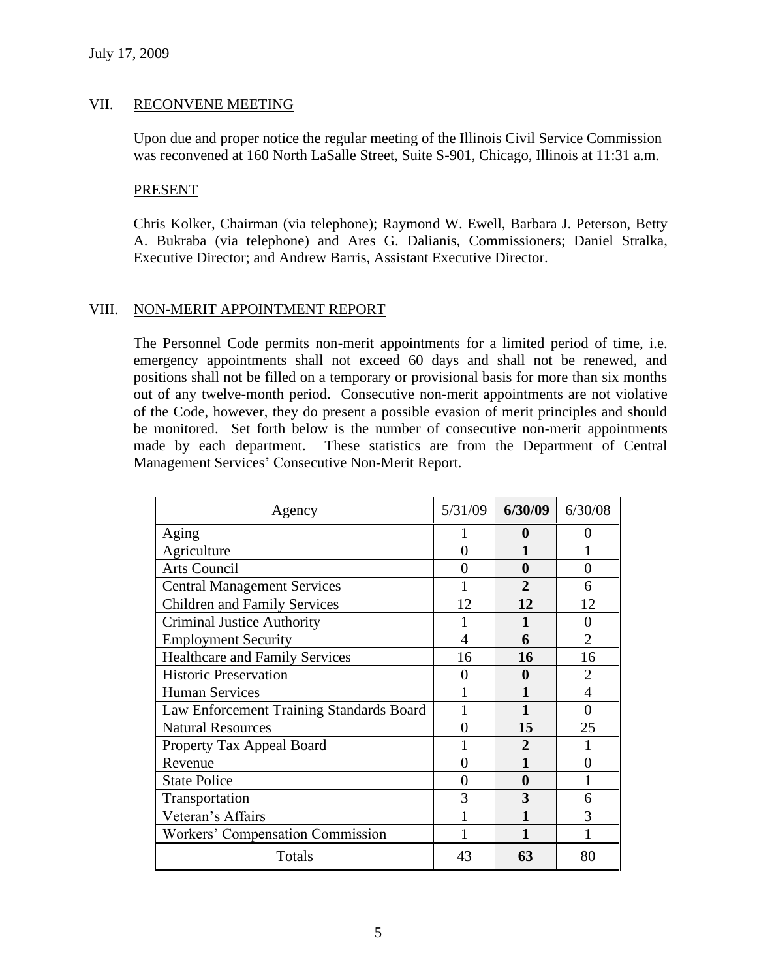# VII. RECONVENE MEETING

Upon due and proper notice the regular meeting of the Illinois Civil Service Commission was reconvened at 160 North LaSalle Street, Suite S-901, Chicago, Illinois at 11:31 a.m.

#### PRESENT

Chris Kolker, Chairman (via telephone); Raymond W. Ewell, Barbara J. Peterson, Betty A. Bukraba (via telephone) and Ares G. Dalianis, Commissioners; Daniel Stralka, Executive Director; and Andrew Barris, Assistant Executive Director.

# VIII. NON-MERIT APPOINTMENT REPORT

The Personnel Code permits non-merit appointments for a limited period of time, i.e. emergency appointments shall not exceed 60 days and shall not be renewed, and positions shall not be filled on a temporary or provisional basis for more than six months out of any twelve-month period. Consecutive non-merit appointments are not violative of the Code, however, they do present a possible evasion of merit principles and should be monitored. Set forth below is the number of consecutive non-merit appointments made by each department. These statistics are from the Department of Central Management Services' Consecutive Non-Merit Report.

| Agency                                   | 5/31/09           | 6/30/09        | 6/30/08           |
|------------------------------------------|-------------------|----------------|-------------------|
| Aging                                    |                   | 0              | ( )               |
| Agriculture                              | 0                 |                |                   |
| <b>Arts Council</b>                      |                   | 0              | 0                 |
| <b>Central Management Services</b>       |                   | 2              | 6                 |
| <b>Children and Family Services</b>      | 12                | 12             | 12                |
| <b>Criminal Justice Authority</b>        |                   |                | $\mathbf{\Omega}$ |
| <b>Employment Security</b>               | 4                 | 6              | $\overline{2}$    |
| <b>Healthcare and Family Services</b>    | 16                | 16             | 16                |
| <b>Historic Preservation</b>             | 0                 | 0              | $\overline{2}$    |
| <b>Human Services</b>                    |                   |                | $\overline{4}$    |
| Law Enforcement Training Standards Board |                   |                | 0                 |
| <b>Natural Resources</b>                 | $\mathbf{\Omega}$ | 15             | 25                |
| Property Tax Appeal Board                |                   | $\mathfrak{D}$ |                   |
| Revenue                                  | 0                 |                | 0                 |
| <b>State Police</b>                      | 0                 | 0              |                   |
| Transportation                           | 3                 | 3              | 6                 |
| Veteran's Affairs                        |                   |                | 3                 |
| Workers' Compensation Commission         |                   |                |                   |
| Totals                                   | 43                | 63             | 80                |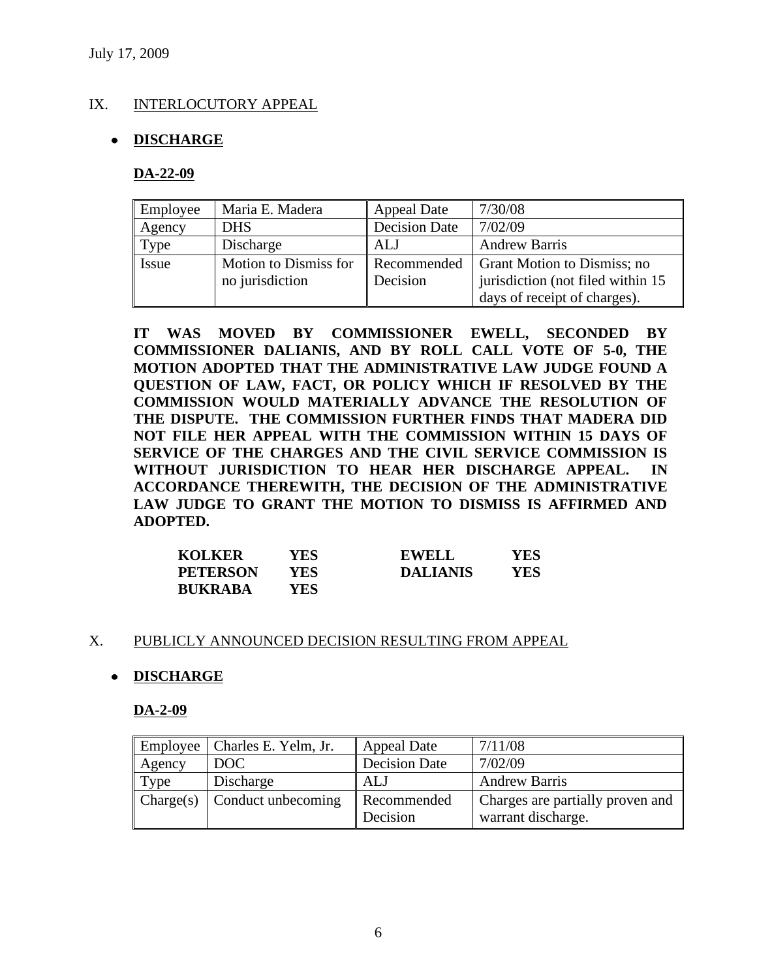# IX. INTERLOCUTORY APPEAL

# **DISCHARGE**

#### **DA-22-09**

| Employee | Maria E. Madera       | <b>Appeal Date</b>   | 7/30/08                            |
|----------|-----------------------|----------------------|------------------------------------|
| Agency   | <b>DHS</b>            | <b>Decision Date</b> | 7/02/09                            |
| Type     | Discharge             | ALJ                  | <b>Andrew Barris</b>               |
| Issue    | Motion to Dismiss for | Recommended          | Grant Motion to Dismiss; no        |
|          | no jurisdiction       | Decision             | jurisdiction (not filed within 15) |
|          |                       |                      | days of receipt of charges).       |

**IT WAS MOVED BY COMMISSIONER EWELL, SECONDED BY COMMISSIONER DALIANIS, AND BY ROLL CALL VOTE OF 5-0, THE MOTION ADOPTED THAT THE ADMINISTRATIVE LAW JUDGE FOUND A QUESTION OF LAW, FACT, OR POLICY WHICH IF RESOLVED BY THE COMMISSION WOULD MATERIALLY ADVANCE THE RESOLUTION OF THE DISPUTE. THE COMMISSION FURTHER FINDS THAT MADERA DID NOT FILE HER APPEAL WITH THE COMMISSION WITHIN 15 DAYS OF SERVICE OF THE CHARGES AND THE CIVIL SERVICE COMMISSION IS WITHOUT JURISDICTION TO HEAR HER DISCHARGE APPEAL. IN ACCORDANCE THEREWITH, THE DECISION OF THE ADMINISTRATIVE LAW JUDGE TO GRANT THE MOTION TO DISMISS IS AFFIRMED AND ADOPTED.**

| <b>KOLKER</b>   | YES. | <b>EWELL</b>    | YES. |
|-----------------|------|-----------------|------|
| <b>PETERSON</b> | YES  | <b>DALIANIS</b> | YES  |
| <b>BUKRABA</b>  | YES. |                 |      |

#### X. PUBLICLY ANNOUNCED DECISION RESULTING FROM APPEAL

#### **DISCHARGE**

**DA-2-09**

| Employee  | Charles E. Yelm, Jr. | <b>Appeal Date</b>      | 7/11/08                                                |
|-----------|----------------------|-------------------------|--------------------------------------------------------|
| Agency    | DOC <sub>1</sub>     | <b>Decision Date</b>    | 7/02/09                                                |
| Type      | Discharge            | <b>ALJ</b>              | <b>Andrew Barris</b>                                   |
| Change(s) | Conduct unbecoming   | Recommended<br>Decision | Charges are partially proven and<br>warrant discharge. |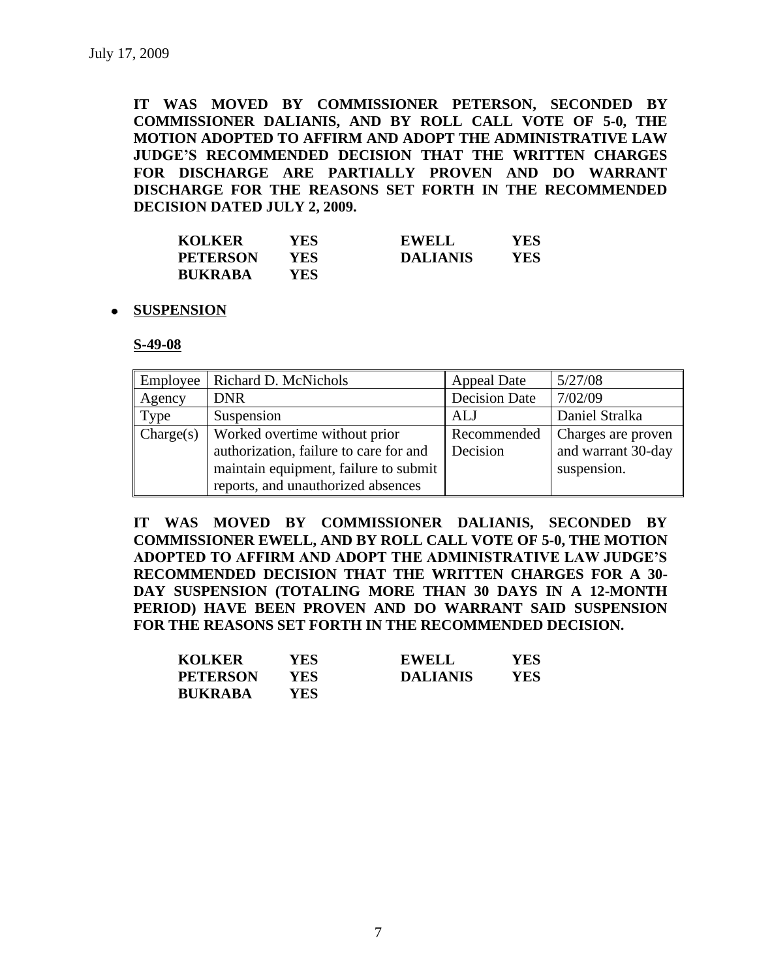**IT WAS MOVED BY COMMISSIONER PETERSON, SECONDED BY COMMISSIONER DALIANIS, AND BY ROLL CALL VOTE OF 5-0, THE MOTION ADOPTED TO AFFIRM AND ADOPT THE ADMINISTRATIVE LAW JUDGE'S RECOMMENDED DECISION THAT THE WRITTEN CHARGES FOR DISCHARGE ARE PARTIALLY PROVEN AND DO WARRANT DISCHARGE FOR THE REASONS SET FORTH IN THE RECOMMENDED DECISION DATED JULY 2, 2009.**

| <b>KOLKER</b>   | YES. | <b>EWELL</b>    | YES |
|-----------------|------|-----------------|-----|
| <b>PETERSON</b> | YES. | <b>DALIANIS</b> | YES |
| <b>BUKRABA</b>  | YES- |                 |     |

#### **SUSPENSION**

**S-49-08**

| Employee  | Richard D. McNichols                   | <b>Appeal Date</b>   | 5/27/08            |
|-----------|----------------------------------------|----------------------|--------------------|
| Agency    | <b>DNR</b>                             | <b>Decision Date</b> | 7/02/09            |
| Type      | Suspension                             | ALJ                  | Daniel Stralka     |
| Change(s) | Worked overtime without prior          | Recommended          | Charges are proven |
|           | authorization, failure to care for and | Decision             | and warrant 30-day |
|           | maintain equipment, failure to submit  |                      | suspension.        |
|           | reports, and unauthorized absences     |                      |                    |

**IT WAS MOVED BY COMMISSIONER DALIANIS, SECONDED BY COMMISSIONER EWELL, AND BY ROLL CALL VOTE OF 5-0, THE MOTION ADOPTED TO AFFIRM AND ADOPT THE ADMINISTRATIVE LAW JUDGE'S RECOMMENDED DECISION THAT THE WRITTEN CHARGES FOR A 30- DAY SUSPENSION (TOTALING MORE THAN 30 DAYS IN A 12-MONTH PERIOD) HAVE BEEN PROVEN AND DO WARRANT SAID SUSPENSION FOR THE REASONS SET FORTH IN THE RECOMMENDED DECISION.**

| <b>KOLKER</b>   | YES  | <b>EWELL</b>    | YES |
|-----------------|------|-----------------|-----|
| <b>PETERSON</b> | YES  | <b>DALIANIS</b> | YES |
| <b>BUKRABA</b>  | YES. |                 |     |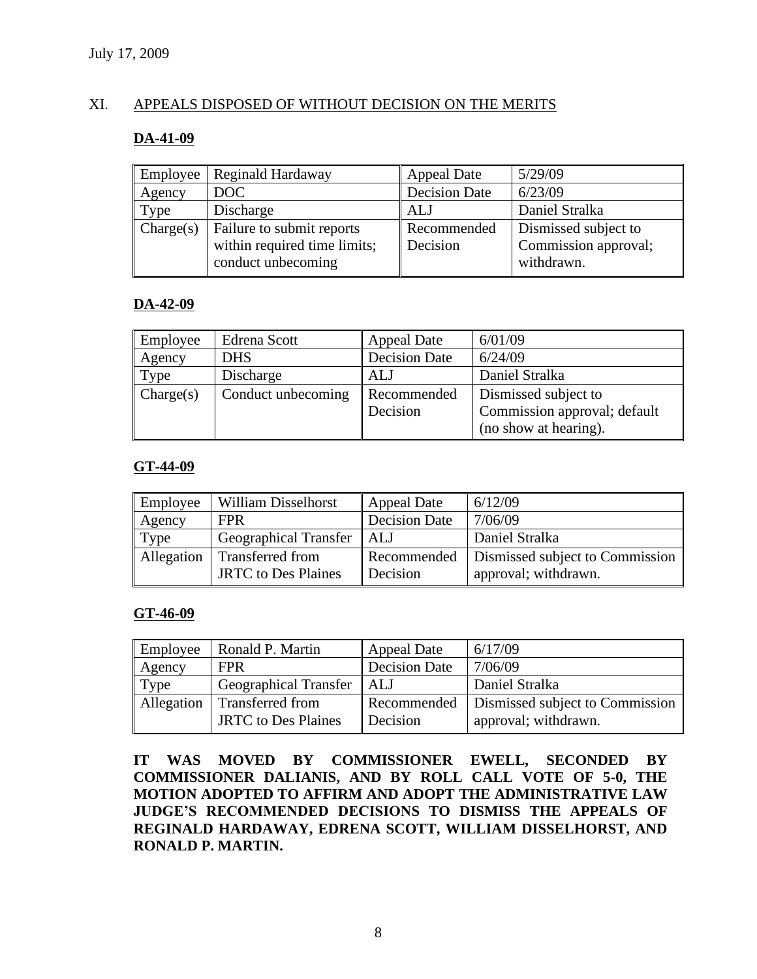# XI. APPEALS DISPOSED OF WITHOUT DECISION ON THE MERITS

#### **DA-41-09**

| Employee  | Reginald Hardaway            | <b>Appeal Date</b>   | 5/29/09              |
|-----------|------------------------------|----------------------|----------------------|
| Agency    | DOC                          | <b>Decision Date</b> | 6/23/09              |
| Type      | Discharge                    | <b>ALJ</b>           | Daniel Stralka       |
| Change(s) | Failure to submit reports    | Recommended          | Dismissed subject to |
|           | within required time limits; | Decision             | Commission approval; |
|           | conduct unbecoming           |                      | withdrawn.           |

# **DA-42-09**

| Employee  | Edrena Scott       | <b>Appeal Date</b>   | 6/01/09                      |
|-----------|--------------------|----------------------|------------------------------|
| Agency    | <b>DHS</b>         | <b>Decision Date</b> | 6/24/09                      |
| Type      | Discharge          | ALJ                  | Daniel Stralka               |
| Change(s) | Conduct unbecoming | Recommended          | Dismissed subject to         |
|           |                    | Decision             | Commission approval; default |
|           |                    |                      | (no show at hearing).        |

# **GT-44-09**

| Employee   | <b>William Disselhorst</b>   | <b>Appeal Date</b> | 6/12/09                         |
|------------|------------------------------|--------------------|---------------------------------|
| Agency     | <b>FPR</b>                   | Decision Date      | 7/06/09                         |
| Type       | <b>Geographical Transfer</b> | I ALJ              | Daniel Stralka                  |
| Allegation | Transferred from             | Recommended        | Dismissed subject to Commission |
|            | <b>JRTC</b> to Des Plaines   | Decision           | approval; withdrawn.            |

#### **GT-46-09**

| Employee   | Ronald P. Martin                               | Appeal Date          | 6/17/09                                                               |
|------------|------------------------------------------------|----------------------|-----------------------------------------------------------------------|
| Agency     | <b>FPR</b>                                     | <b>Decision Date</b> | 7/06/09                                                               |
| Type       | Geographical Transfer                          | l ALJ                | Daniel Stralka                                                        |
| Allegation | Transferred from<br><b>JRTC</b> to Des Plaines | Decision             | Recommended   Dismissed subject to Commission<br>approval; withdrawn. |

**IT WAS MOVED BY COMMISSIONER EWELL, SECONDED BY COMMISSIONER DALIANIS, AND BY ROLL CALL VOTE OF 5-0, THE MOTION ADOPTED TO AFFIRM AND ADOPT THE ADMINISTRATIVE LAW JUDGE'S RECOMMENDED DECISIONS TO DISMISS THE APPEALS OF REGINALD HARDAWAY, EDRENA SCOTT, WILLIAM DISSELHORST, AND RONALD P. MARTIN.**